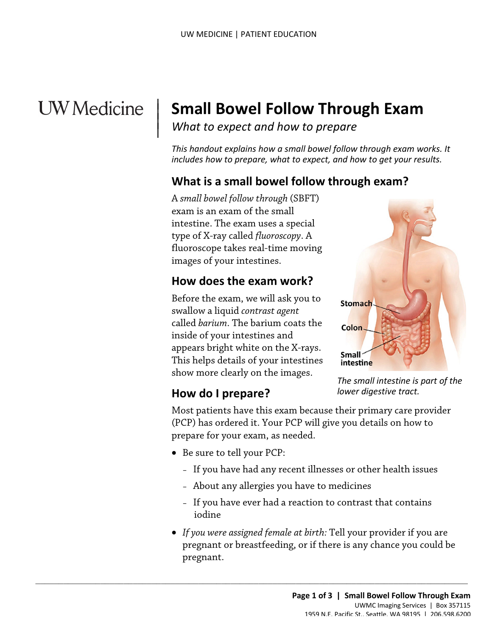# **UW** Medicine

|  $\vert$  $\vert$  $\vert$ 

## **Small Bowel Follow Through Exam**

*What to expect and how to prepare* 

 *This handout explains how a small bowel follow through exam works. It includes how to prepare, what to expect, and how to get your results.* 

## **What is a small bowel follow through exam?**

A *small bowel follow through* (SBFT) exam is an exam of the small intestine. The exam uses a special type of X-ray called *fluoroscopy*. A fluoroscope takes real-time moving images of your intestines.

## **How does the exam work?**

Before the exam, we will ask you to swallow a liquid *contrast agent*  called *barium*. The barium coats the inside of your intestines and appears bright white on the X-rays. This helps details of your intestines show more clearly on the images.



#### *The small intestine is part of the lower digestive tract.*

## **How do I prepare?**

Most patients have this exam because their primary care provider (PCP) has ordered it. Your PCP will give you details on how to prepare for your exam, as needed.

- Be sure to tell your PCP:
	- If you have had any recent illnesses or other health issues
	- About any allergies you have to medicines

 $\_$  , and the set of the set of the set of the set of the set of the set of the set of the set of the set of the set of the set of the set of the set of the set of the set of the set of the set of the set of the set of th

- If you have ever had a reaction to contrast that contains iodine
- *If you were assigned female at birth:* Tell your provider if you are pregnant or breastfeeding, or if there is any chance you could be pregnant.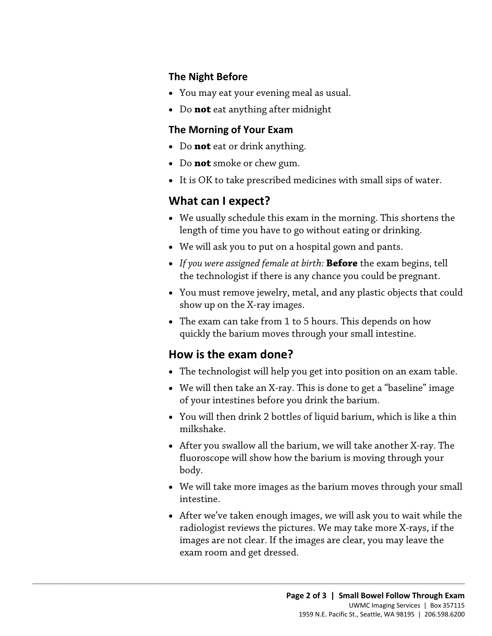#### **The Night Before**

- You may eat your evening meal as usual.
- Do **not** eat anything after midnight

#### **The Morning of Your Exam**

- Do **not** eat or drink anything.
- Do **not** smoke or chew gum.
- It is OK to take prescribed medicines with small sips of water.

### **What can I expect?**

- • We usually schedule this exam in the morning. This shortens the length of time you have to go without eating or drinking.
- We will ask you to put on a hospital gown and pants.
- • *If you were assigned female at birth:* **Before** the exam begins, tell the technologist if there is any chance you could be pregnant.
- • You must remove jewelry, metal, and any plastic objects that could length of time you have to go without eating or drinking.<br>
• We will ask you to put on a hospital gown and pants.<br>
• If you were assigned female at birth: **Before** the exam begins, tell<br>
the technologist if there is any ch show up on the X-ray images.
	- The exam can take from 1 to 5 hours. This depends on how quickly the barium moves through your small intestine.

## **How is the exam done?**

 $\_$  ,  $\_$  ,  $\_$  ,  $\_$  ,  $\_$  ,  $\_$  ,  $\_$  ,  $\_$  ,  $\_$  ,  $\_$  ,  $\_$  ,  $\_$  ,  $\_$  ,  $\_$  ,  $\_$  ,  $\_$  ,  $\_$  ,  $\_$  ,  $\_$  ,  $\_$  ,  $\_$  ,  $\_$  ,  $\_$  ,  $\_$  ,  $\_$  ,  $\_$  ,  $\_$  ,  $\_$  ,  $\_$  ,  $\_$  ,  $\_$  ,  $\_$  ,  $\_$  ,  $\_$  ,  $\_$  ,  $\_$  ,  $\_$  ,

- The technologist will help you get into position on an exam table.
- We will then take an X-ray. This is done to get a "baseline" image of your intestines before you drink the barium.
- You will then drink 2 bottles of liquid barium, which is like a thin milkshake.
- • After you swallow all the barium, we will take another X-ray. The fluoroscope will show how the barium is moving through your body.
- We will take more images as the barium moves through your small intestine.
- After we've taken enough images, we will ask you to wait while the radiologist reviews the pictures. We may take more X-rays, if the images are not clear. If the images are clear, you may leave the exam room and get dressed.